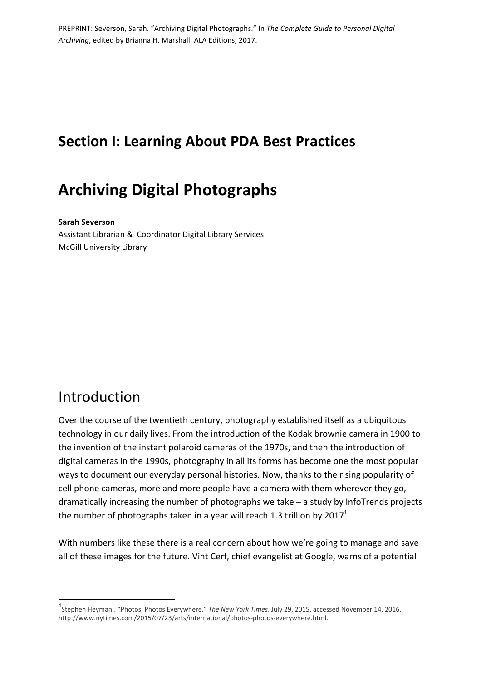# **Section I: Learning About PDA Best Practices**

# **Archiving Digital Photographs**

#### **Sarah Severson**

Assistant Librarian & Coordinator Digital Library Services McGill University Library

## Introduction

Over the course of the twentieth century, photography established itself as a ubiquitous technology in our daily lives. From the introduction of the Kodak brownie camera in 1900 to the invention of the instant polaroid cameras of the 1970s, and then the introduction of digital cameras in the 1990s, photography in all its forms has become one the most popular ways to document our everyday personal histories. Now, thanks to the rising popularity of cell phone cameras, more and more people have a camera with them wherever they go, dramatically increasing the number of photographs we take  $-$  a study by InfoTrends projects the number of photographs taken in a year will reach 1.3 trillion by  $2017<sup>1</sup>$ 

With numbers like these there is a real concern about how we're going to manage and save all of these images for the future. Vint Cerf, chief evangelist at Google, warns of a potential

<sup>1&</sup>lt;br>1<br>Stephen Heyman.. "Photos, Photos Everywhere." *The New York Times*, July 29, 2015, accessed November 14, 2016, http://www.nytimes.com/2015/07/23/arts/international/photos-photos-everywhere.html.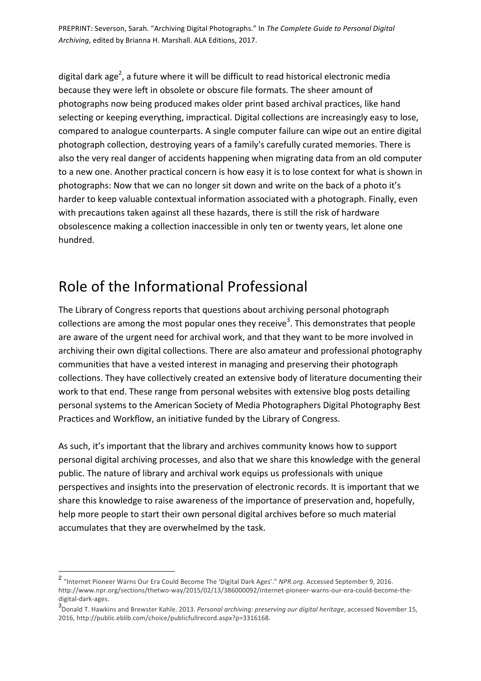digital dark age<sup>2</sup>, a future where it will be difficult to read historical electronic media because they were left in obsolete or obscure file formats. The sheer amount of photographs now being produced makes older print based archival practices, like hand selecting or keeping everything, impractical. Digital collections are increasingly easy to lose, compared to analogue counterparts. A single computer failure can wipe out an entire digital photograph collection, destroying years of a family's carefully curated memories. There is also the very real danger of accidents happening when migrating data from an old computer to a new one. Another practical concern is how easy it is to lose context for what is shown in photographs: Now that we can no longer sit down and write on the back of a photo it's harder to keep valuable contextual information associated with a photograph. Finally, even with precautions taken against all these hazards, there is still the risk of hardware obsolescence making a collection inaccessible in only ten or twenty years, let alone one hundred.

# Role of the Informational Professional

The Library of Congress reports that questions about archiving personal photograph collections are among the most popular ones they receive<sup>3</sup>. This demonstrates that people are aware of the urgent need for archival work, and that they want to be more involved in archiving their own digital collections. There are also amateur and professional photography communities that have a vested interest in managing and preserving their photograph collections. They have collectively created an extensive body of literature documenting their work to that end. These range from personal websites with extensive blog posts detailing personal systems to the American Society of Media Photographers Digital Photography Best Practices and Workflow, an initiative funded by the Library of Congress.

As such, it's important that the library and archives community knows how to support personal digital archiving processes, and also that we share this knowledge with the general public. The nature of library and archival work equips us professionals with unique perspectives and insights into the preservation of electronic records. It is important that we share this knowledge to raise awareness of the importance of preservation and, hopefully, help more people to start their own personal digital archives before so much material accumulates that they are overwhelmed by the task.

<sup>&</sup>lt;sup>2</sup> "Internet Pioneer Warns Our Era Could Become The 'Digital Dark Ages'." *NPR.org*. Accessed September 9, 2016. http://www.npr.org/sections/thetwo-way/2015/02/13/386000092/internet-pioneer-warns-our-era-could-become-thedigital-dark-ages.

<sup>&</sup>lt;sup>3</sup> Donald T. Hawkins and Brewster Kahle. 2013. *Personal archiving: preserving our digital heritage*, accessed November 15, 2016, http://public.eblib.com/choice/publicfullrecord.aspx?p=3316168.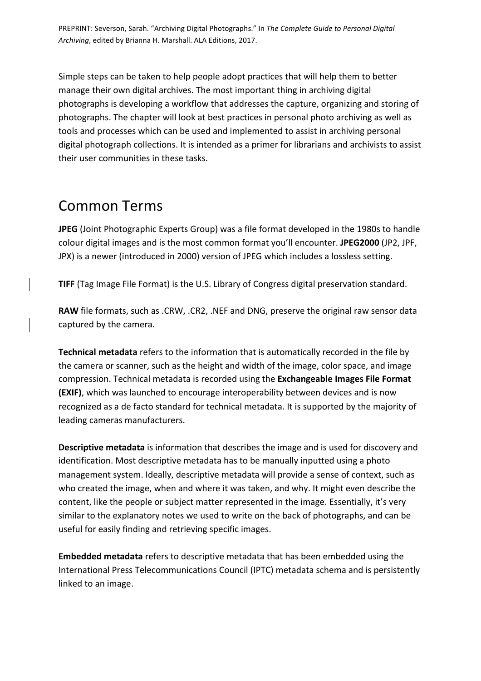Simple steps can be taken to help people adopt practices that will help them to better manage their own digital archives. The most important thing in archiving digital photographs is developing a workflow that addresses the capture, organizing and storing of photographs. The chapter will look at best practices in personal photo archiving as well as tools and processes which can be used and implemented to assist in archiving personal digital photograph collections. It is intended as a primer for librarians and archivists to assist their user communities in these tasks.

## Common Terms

**JPEG** (Joint Photographic Experts Group) was a file format developed in the 1980s to handle colour digital images and is the most common format you'll encounter. JPEG2000 (JP2, JPF, JPX) is a newer (introduced in 2000) version of JPEG which includes a lossless setting.

**TIFF** (Tag Image File Format) is the U.S. Library of Congress digital preservation standard.

RAW file formats, such as .CRW, .CR2, .NEF and DNG, preserve the original raw sensor data captured by the camera.

**Technical metadata** refers to the information that is automatically recorded in the file by the camera or scanner, such as the height and width of the image, color space, and image compression. Technical metadata is recorded using the **Exchangeable Images File Format (EXIF)**, which was launched to encourage interoperability between devices and is now recognized as a de facto standard for technical metadata. It is supported by the majority of leading cameras manufacturers.

**Descriptive metadata** is information that describes the image and is used for discovery and identification. Most descriptive metadata has to be manually inputted using a photo management system. Ideally, descriptive metadata will provide a sense of context, such as who created the image, when and where it was taken, and why. It might even describe the content, like the people or subject matter represented in the image. Essentially, it's very similar to the explanatory notes we used to write on the back of photographs, and can be useful for easily finding and retrieving specific images.

**Embedded metadata** refers to descriptive metadata that has been embedded using the International Press Telecommunications Council (IPTC) metadata schema and is persistently linked to an image.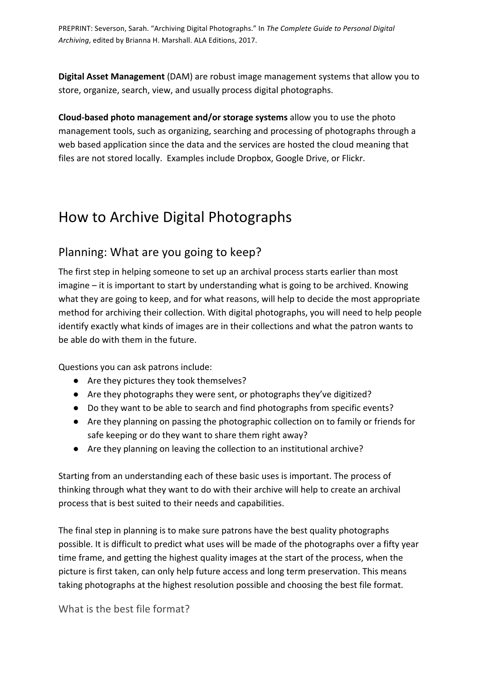**Digital Asset Management** (DAM) are robust image management systems that allow you to store, organize, search, view, and usually process digital photographs.

**Cloud-based photo management and/or storage systems** allow you to use the photo management tools, such as organizing, searching and processing of photographs through a web based application since the data and the services are hosted the cloud meaning that files are not stored locally. Examples include Dropbox, Google Drive, or Flickr.

# How to Archive Digital Photographs

### Planning: What are you going to keep?

The first step in helping someone to set up an archival process starts earlier than most  $imagine - it is important to start by understanding what is going to be archived. Knowing$ what they are going to keep, and for what reasons, will help to decide the most appropriate method for archiving their collection. With digital photographs, you will need to help people identify exactly what kinds of images are in their collections and what the patron wants to be able do with them in the future.

Questions you can ask patrons include:

- Are they pictures they took themselves?
- Are they photographs they were sent, or photographs they've digitized?
- Do they want to be able to search and find photographs from specific events?
- Are they planning on passing the photographic collection on to family or friends for safe keeping or do they want to share them right away?
- $\bullet$  Are they planning on leaving the collection to an institutional archive?

Starting from an understanding each of these basic uses is important. The process of thinking through what they want to do with their archive will help to create an archival process that is best suited to their needs and capabilities.

The final step in planning is to make sure patrons have the best quality photographs possible. It is difficult to predict what uses will be made of the photographs over a fifty year time frame, and getting the highest quality images at the start of the process, when the picture is first taken, can only help future access and long term preservation. This means taking photographs at the highest resolution possible and choosing the best file format.

What is the best file format?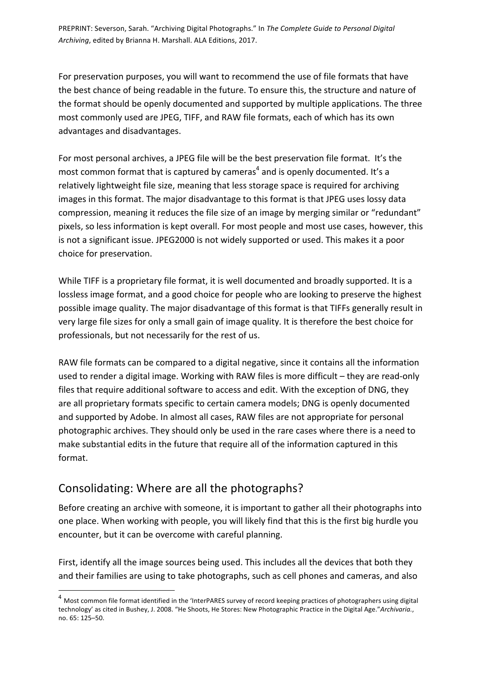For preservation purposes, you will want to recommend the use of file formats that have the best chance of being readable in the future. To ensure this, the structure and nature of the format should be openly documented and supported by multiple applications. The three most commonly used are JPEG, TIFF, and RAW file formats, each of which has its own advantages and disadvantages.

For most personal archives, a JPEG file will be the best preservation file format. It's the most common format that is captured by cameras<sup>4</sup> and is openly documented. It's a relatively lightweight file size, meaning that less storage space is required for archiving images in this format. The major disadvantage to this format is that JPEG uses lossy data compression, meaning it reduces the file size of an image by merging similar or "redundant" pixels, so less information is kept overall. For most people and most use cases, however, this is not a significant issue. JPEG2000 is not widely supported or used. This makes it a poor choice for preservation.

While TIFF is a proprietary file format, it is well documented and broadly supported. It is a lossless image format, and a good choice for people who are looking to preserve the highest possible image quality. The major disadvantage of this format is that TIFFs generally result in very large file sizes for only a small gain of image quality. It is therefore the best choice for professionals, but not necessarily for the rest of us.

RAW file formats can be compared to a digital negative, since it contains all the information used to render a digital image. Working with RAW files is more difficult  $-$  they are read-only files that require additional software to access and edit. With the exception of DNG, they are all proprietary formats specific to certain camera models; DNG is openly documented and supported by Adobe. In almost all cases, RAW files are not appropriate for personal photographic archives. They should only be used in the rare cases where there is a need to make substantial edits in the future that require all of the information captured in this format.

### Consolidating: Where are all the photographs?

Before creating an archive with someone, it is important to gather all their photographs into one place. When working with people, you will likely find that this is the first big hurdle you encounter, but it can be overcome with careful planning.

First, identify all the image sources being used. This includes all the devices that both they and their families are using to take photographs, such as cell phones and cameras, and also

 $4$  Most common file format identified in the 'InterPARES survey of record keeping practices of photographers using digital technology' as cited in Bushey, J. 2008. "He Shoots, He Stores: New Photographic Practice in the Digital Age."Archivaria., no. 65: 125–50.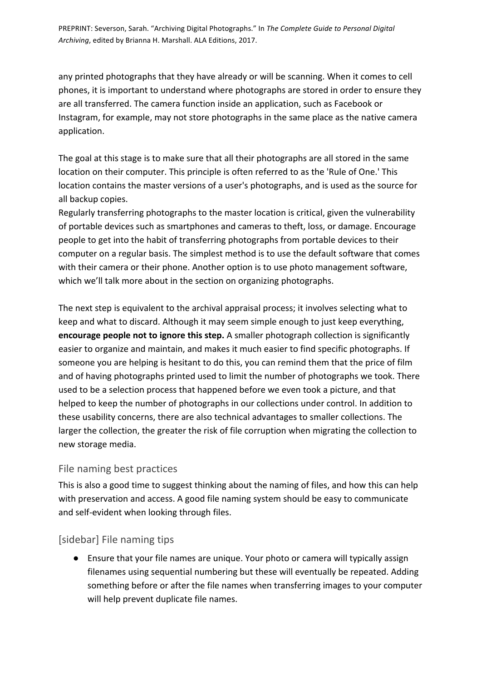any printed photographs that they have already or will be scanning. When it comes to cell phones, it is important to understand where photographs are stored in order to ensure they are all transferred. The camera function inside an application, such as Facebook or Instagram, for example, may not store photographs in the same place as the native camera application. 

The goal at this stage is to make sure that all their photographs are all stored in the same location on their computer. This principle is often referred to as the 'Rule of One.' This location contains the master versions of a user's photographs, and is used as the source for all backup copies.

Regularly transferring photographs to the master location is critical, given the vulnerability of portable devices such as smartphones and cameras to theft, loss, or damage. Encourage people to get into the habit of transferring photographs from portable devices to their computer on a regular basis. The simplest method is to use the default software that comes with their camera or their phone. Another option is to use photo management software, which we'll talk more about in the section on organizing photographs.

The next step is equivalent to the archival appraisal process; it involves selecting what to keep and what to discard. Although it may seem simple enough to just keep everything, **encourage people not to ignore this step.** A smaller photograph collection is significantly easier to organize and maintain, and makes it much easier to find specific photographs. If someone you are helping is hesitant to do this, you can remind them that the price of film and of having photographs printed used to limit the number of photographs we took. There used to be a selection process that happened before we even took a picture, and that helped to keep the number of photographs in our collections under control. In addition to these usability concerns, there are also technical advantages to smaller collections. The larger the collection, the greater the risk of file corruption when migrating the collection to new storage media.

#### File naming best practices

This is also a good time to suggest thinking about the naming of files, and how this can help with preservation and access. A good file naming system should be easy to communicate and self-evident when looking through files.

#### [sidebar] File naming tips

● Ensure that your file names are unique. Your photo or camera will typically assign filenames using sequential numbering but these will eventually be repeated. Adding something before or after the file names when transferring images to your computer will help prevent duplicate file names.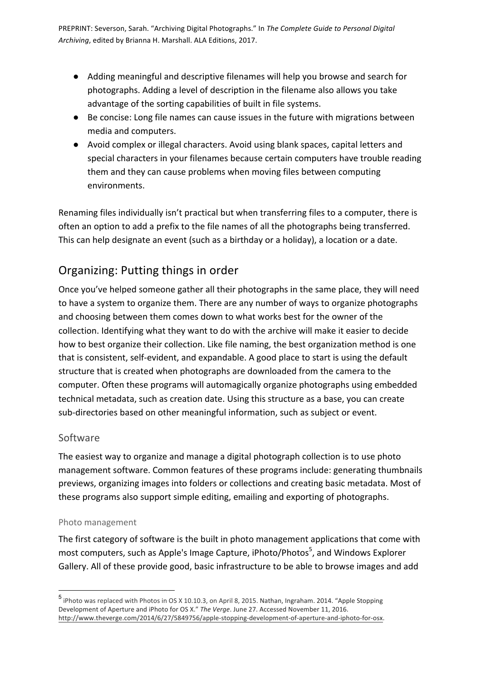- Adding meaningful and descriptive filenames will help you browse and search for photographs. Adding a level of description in the filename also allows you take advantage of the sorting capabilities of built in file systems.
- Be concise: Long file names can cause issues in the future with migrations between media and computers.
- Avoid complex or illegal characters. Avoid using blank spaces, capital letters and special characters in your filenames because certain computers have trouble reading them and they can cause problems when moving files between computing environments.

Renaming files individually isn't practical but when transferring files to a computer, there is often an option to add a prefix to the file names of all the photographs being transferred. This can help designate an event (such as a birthday or a holiday), a location or a date.

## Organizing: Putting things in order

Once you've helped someone gather all their photographs in the same place, they will need to have a system to organize them. There are any number of ways to organize photographs and choosing between them comes down to what works best for the owner of the collection. Identifying what they want to do with the archive will make it easier to decide how to best organize their collection. Like file naming, the best organization method is one that is consistent, self-evident, and expandable. A good place to start is using the default structure that is created when photographs are downloaded from the camera to the computer. Often these programs will automagically organize photographs using embedded technical metadata, such as creation date. Using this structure as a base, you can create sub-directories based on other meaningful information, such as subject or event.

#### Software

The easiest way to organize and manage a digital photograph collection is to use photo management software. Common features of these programs include: generating thumbnails previews, organizing images into folders or collections and creating basic metadata. Most of these programs also support simple editing, emailing and exporting of photographs.

#### Photo management

The first category of software is the built in photo management applications that come with most computers, such as Apple's Image Capture, iPhoto/Photos<sup>5</sup>, and Windows Explorer Gallery. All of these provide good, basic infrastructure to be able to browse images and add

<sup>&</sup>lt;sup>5</sup> iPhoto was replaced with Photos in OS X 10.10.3, on April 8, 2015. Nathan, Ingraham. 2014. "Apple Stopping Development of Aperture and iPhoto for OS X." The Verge. June 27. Accessed November 11, 2016. http://www.theverge.com/2014/6/27/5849756/apple-stopping-development-of-aperture-and-iphoto-for-osx.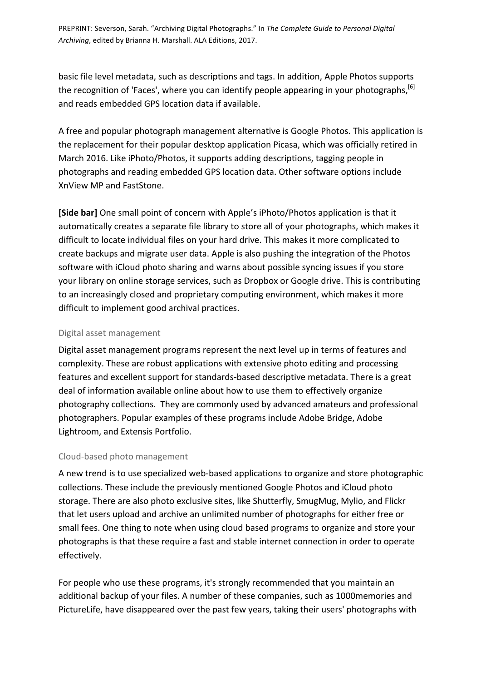basic file level metadata, such as descriptions and tags. In addition, Apple Photos supports the recognition of 'Faces', where you can identify people appearing in your photographs,<sup>[6]</sup> and reads embedded GPS location data if available.

A free and popular photograph management alternative is Google Photos. This application is the replacement for their popular desktop application Picasa, which was officially retired in March 2016. Like iPhoto/Photos, it supports adding descriptions, tagging people in photographs and reading embedded GPS location data. Other software options include XnView MP and FastStone. 

**[Side bar]** One small point of concern with Apple's iPhoto/Photos application is that it automatically creates a separate file library to store all of your photographs, which makes it difficult to locate individual files on your hard drive. This makes it more complicated to create backups and migrate user data. Apple is also pushing the integration of the Photos software with iCloud photo sharing and warns about possible syncing issues if you store your library on online storage services, such as Dropbox or Google drive. This is contributing to an increasingly closed and proprietary computing environment, which makes it more difficult to implement good archival practices.

#### Digital asset management

Digital asset management programs represent the next level up in terms of features and complexity. These are robust applications with extensive photo editing and processing features and excellent support for standards-based descriptive metadata. There is a great deal of information available online about how to use them to effectively organize photography collections. They are commonly used by advanced amateurs and professional photographers. Popular examples of these programs include Adobe Bridge, Adobe Lightroom, and Extensis Portfolio.

#### Cloud-based photo management

A new trend is to use specialized web-based applications to organize and store photographic collections. These include the previously mentioned Google Photos and iCloud photo storage. There are also photo exclusive sites, like Shutterfly, SmugMug, Mylio, and Flickr that let users upload and archive an unlimited number of photographs for either free or small fees. One thing to note when using cloud based programs to organize and store your photographs is that these require a fast and stable internet connection in order to operate effectively. 

For people who use these programs, it's strongly recommended that you maintain an additional backup of your files. A number of these companies, such as 1000memories and PictureLife, have disappeared over the past few years, taking their users' photographs with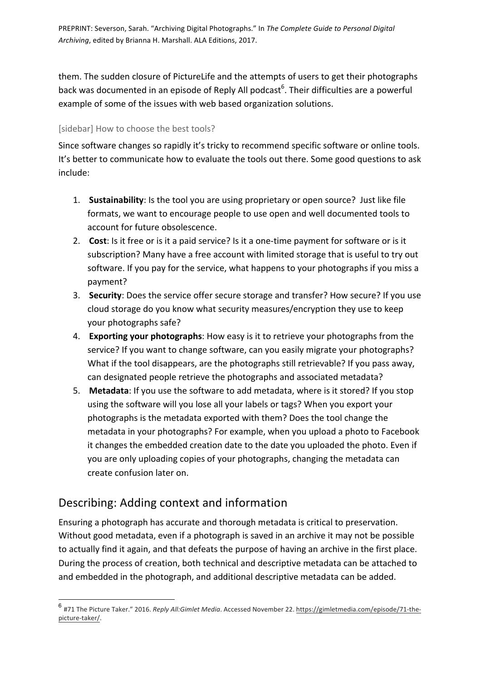them. The sudden closure of PictureLife and the attempts of users to get their photographs back was documented in an episode of Reply All podcast<sup>6</sup>. Their difficulties are a powerful example of some of the issues with web based organization solutions.

#### [sidebar] How to choose the best tools?

Since software changes so rapidly it's tricky to recommend specific software or online tools. It's better to communicate how to evaluate the tools out there. Some good questions to ask include:

- 1. Sustainability: Is the tool you are using proprietary or open source? Just like file formats, we want to encourage people to use open and well documented tools to account for future obsolescence.
- 2. Cost: Is it free or is it a paid service? Is it a one-time payment for software or is it subscription? Many have a free account with limited storage that is useful to try out software. If you pay for the service, what happens to your photographs if you miss a payment?
- 3. **Security**: Does the service offer secure storage and transfer? How secure? If you use cloud storage do you know what security measures/encryption they use to keep your photographs safe?
- 4. **Exporting your photographs**: How easy is it to retrieve your photographs from the service? If you want to change software, can you easily migrate your photographs? What if the tool disappears, are the photographs still retrievable? If you pass away, can designated people retrieve the photographs and associated metadata?
- 5. **Metadata:** If you use the software to add metadata, where is it stored? If you stop using the software will you lose all your labels or tags? When you export your photographs is the metadata exported with them? Does the tool change the metadata in your photographs? For example, when you upload a photo to Facebook it changes the embedded creation date to the date you uploaded the photo. Even if you are only uploading copies of your photographs, changing the metadata can create confusion later on.

## Describing: Adding context and information

Ensuring a photograph has accurate and thorough metadata is critical to preservation. Without good metadata, even if a photograph is saved in an archive it may not be possible to actually find it again, and that defeats the purpose of having an archive in the first place. During the process of creation, both technical and descriptive metadata can be attached to and embedded in the photograph, and additional descriptive metadata can be added.

<sup>&</sup>lt;sup>6</sup> #71 The Picture Taker." 2016. Reply All:Gimlet Media. Accessed November 22. https://gimletmedia.com/episode/71-thepicture-taker/.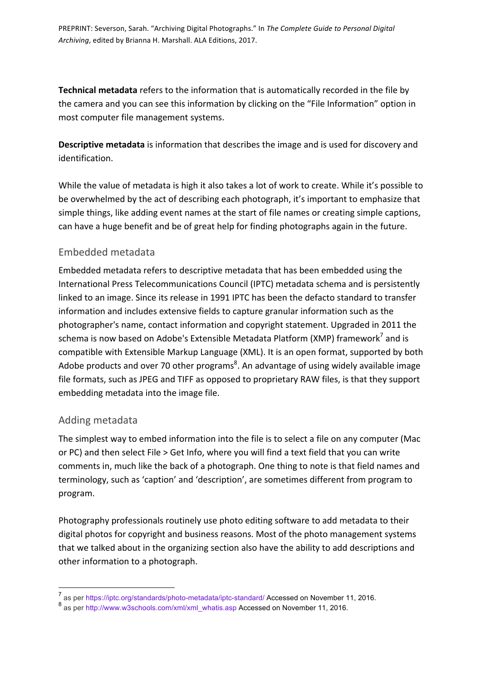**Technical metadata** refers to the information that is automatically recorded in the file by the camera and you can see this information by clicking on the "File Information" option in most computer file management systems.

**Descriptive metadata** is information that describes the image and is used for discovery and identification. 

While the value of metadata is high it also takes a lot of work to create. While it's possible to be overwhelmed by the act of describing each photograph, it's important to emphasize that simple things, like adding event names at the start of file names or creating simple captions, can have a huge benefit and be of great help for finding photographs again in the future.

#### Embedded metadata

Embedded metadata refers to descriptive metadata that has been embedded using the International Press Telecommunications Council (IPTC) metadata schema and is persistently linked to an image. Since its release in 1991 IPTC has been the defacto standard to transfer information and includes extensive fields to capture granular information such as the photographer's name, contact information and copyright statement. Upgraded in 2011 the schema is now based on Adobe's Extensible Metadata Platform (XMP) framework<sup>7</sup> and is compatible with Extensible Markup Language (XML). It is an open format, supported by both Adobe products and over 70 other programs<sup>8</sup>. An advantage of using widely available image file formats, such as JPEG and TIFF as opposed to proprietary RAW files, is that they support embedding metadata into the image file.

#### Adding metadata

The simplest way to embed information into the file is to select a file on any computer (Mac or PC) and then select File > Get Info, where you will find a text field that you can write comments in, much like the back of a photograph. One thing to note is that field names and terminology, such as 'caption' and 'description', are sometimes different from program to program. 

Photography professionals routinely use photo editing software to add metadata to their digital photos for copyright and business reasons. Most of the photo management systems that we talked about in the organizing section also have the ability to add descriptions and other information to a photograph.

 <sup>7</sup> as per https://iptc.org/standards/photo-metadata/iptc-standard/ Accessed on November 11, 2016.

<sup>&</sup>lt;sup>8</sup> as per http://www.w3schools.com/xml/xml\_whatis.asp Accessed on November 11, 2016.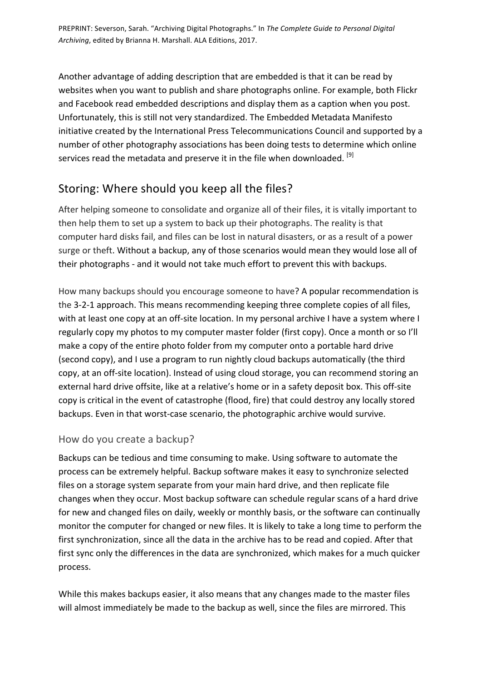Another advantage of adding description that are embedded is that it can be read by websites when you want to publish and share photographs online. For example, both Flickr and Facebook read embedded descriptions and display them as a caption when you post. Unfortunately, this is still not very standardized. The Embedded Metadata Manifesto initiative created by the International Press Telecommunications Council and supported by a number of other photography associations has been doing tests to determine which online services read the metadata and preserve it in the file when downloaded. <sup>[9]</sup>

### Storing: Where should you keep all the files?

After helping someone to consolidate and organize all of their files, it is vitally important to then help them to set up a system to back up their photographs. The reality is that computer hard disks fail, and files can be lost in natural disasters, or as a result of a power surge or theft. Without a backup, any of those scenarios would mean they would lose all of their photographs - and it would not take much effort to prevent this with backups.

How many backups should you encourage someone to have? A popular recommendation is the 3-2-1 approach. This means recommending keeping three complete copies of all files, with at least one copy at an off-site location. In my personal archive I have a system where I regularly copy my photos to my computer master folder (first copy). Once a month or so I'll make a copy of the entire photo folder from my computer onto a portable hard drive (second copy), and I use a program to run nightly cloud backups automatically (the third copy, at an off-site location). Instead of using cloud storage, you can recommend storing an external hard drive offsite, like at a relative's home or in a safety deposit box. This off-site copy is critical in the event of catastrophe (flood, fire) that could destroy any locally stored backups. Even in that worst-case scenario, the photographic archive would survive.

#### How do you create a backup?

Backups can be tedious and time consuming to make. Using software to automate the process can be extremely helpful. Backup software makes it easy to synchronize selected files on a storage system separate from your main hard drive, and then replicate file changes when they occur. Most backup software can schedule regular scans of a hard drive for new and changed files on daily, weekly or monthly basis, or the software can continually monitor the computer for changed or new files. It is likely to take a long time to perform the first synchronization, since all the data in the archive has to be read and copied. After that first sync only the differences in the data are synchronized, which makes for a much quicker process. 

While this makes backups easier, it also means that any changes made to the master files will almost immediately be made to the backup as well, since the files are mirrored. This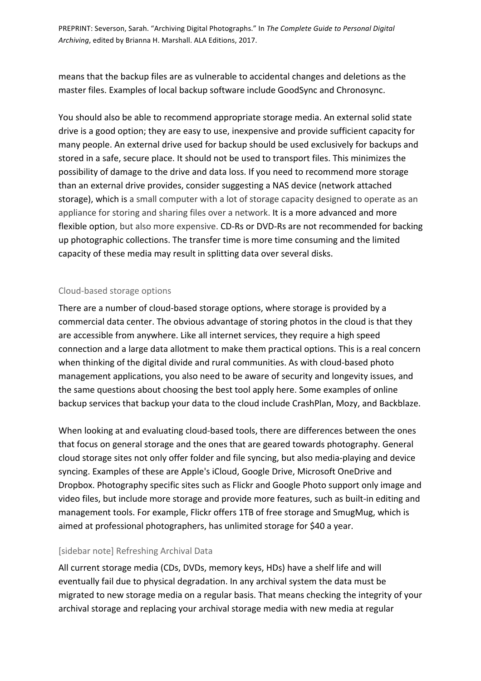means that the backup files are as vulnerable to accidental changes and deletions as the master files. Examples of local backup software include GoodSync and Chronosync.

You should also be able to recommend appropriate storage media. An external solid state drive is a good option; they are easy to use, inexpensive and provide sufficient capacity for many people. An external drive used for backup should be used exclusively for backups and stored in a safe, secure place. It should not be used to transport files. This minimizes the possibility of damage to the drive and data loss. If you need to recommend more storage than an external drive provides, consider suggesting a NAS device (network attached storage), which is a small computer with a lot of storage capacity designed to operate as an appliance for storing and sharing files over a network. It is a more advanced and more flexible option, but also more expensive. CD-Rs or DVD-Rs are not recommended for backing up photographic collections. The transfer time is more time consuming and the limited capacity of these media may result in splitting data over several disks.

#### Cloud-based storage options

There are a number of cloud-based storage options, where storage is provided by a commercial data center. The obvious advantage of storing photos in the cloud is that they are accessible from anywhere. Like all internet services, they require a high speed connection and a large data allotment to make them practical options. This is a real concern when thinking of the digital divide and rural communities. As with cloud-based photo management applications, you also need to be aware of security and longevity issues, and the same questions about choosing the best tool apply here. Some examples of online backup services that backup your data to the cloud include CrashPlan, Mozy, and Backblaze.

When looking at and evaluating cloud-based tools, there are differences between the ones that focus on general storage and the ones that are geared towards photography. General cloud storage sites not only offer folder and file syncing, but also media-playing and device syncing. Examples of these are Apple's iCloud, Google Drive, Microsoft OneDrive and Dropbox. Photography specific sites such as Flickr and Google Photo support only image and video files, but include more storage and provide more features, such as built-in editing and management tools. For example, Flickr offers 1TB of free storage and SmugMug, which is aimed at professional photographers, has unlimited storage for \$40 a year.

#### [sidebar note] Refreshing Archival Data

All current storage media (CDs, DVDs, memory keys, HDs) have a shelf life and will eventually fail due to physical degradation. In any archival system the data must be migrated to new storage media on a regular basis. That means checking the integrity of your archival storage and replacing your archival storage media with new media at regular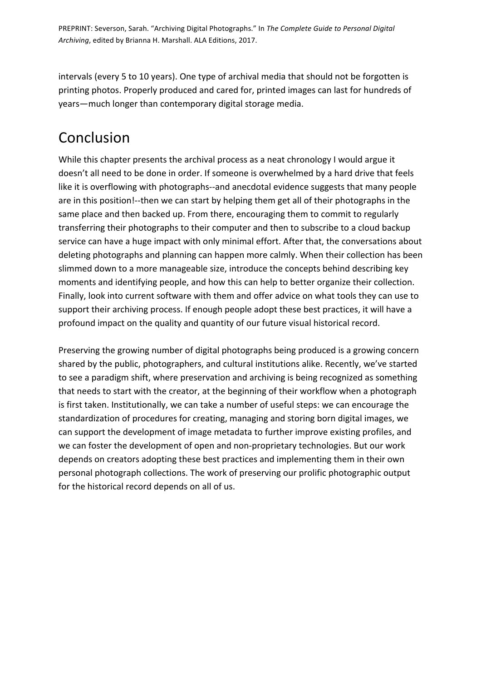intervals (every 5 to 10 years). One type of archival media that should not be forgotten is printing photos. Properly produced and cared for, printed images can last for hundreds of years—much longer than contemporary digital storage media.

# Conclusion

While this chapter presents the archival process as a neat chronology I would argue it doesn't all need to be done in order. If someone is overwhelmed by a hard drive that feels like it is overflowing with photographs--and anecdotal evidence suggests that many people are in this position!--then we can start by helping them get all of their photographs in the same place and then backed up. From there, encouraging them to commit to regularly transferring their photographs to their computer and then to subscribe to a cloud backup service can have a huge impact with only minimal effort. After that, the conversations about deleting photographs and planning can happen more calmly. When their collection has been slimmed down to a more manageable size, introduce the concepts behind describing key moments and identifying people, and how this can help to better organize their collection. Finally, look into current software with them and offer advice on what tools they can use to support their archiving process. If enough people adopt these best practices, it will have a profound impact on the quality and quantity of our future visual historical record.

Preserving the growing number of digital photographs being produced is a growing concern shared by the public, photographers, and cultural institutions alike. Recently, we've started to see a paradigm shift, where preservation and archiving is being recognized as something that needs to start with the creator, at the beginning of their workflow when a photograph is first taken. Institutionally, we can take a number of useful steps: we can encourage the standardization of procedures for creating, managing and storing born digital images, we can support the development of image metadata to further improve existing profiles, and we can foster the development of open and non-proprietary technologies. But our work depends on creators adopting these best practices and implementing them in their own personal photograph collections. The work of preserving our prolific photographic output for the historical record depends on all of us.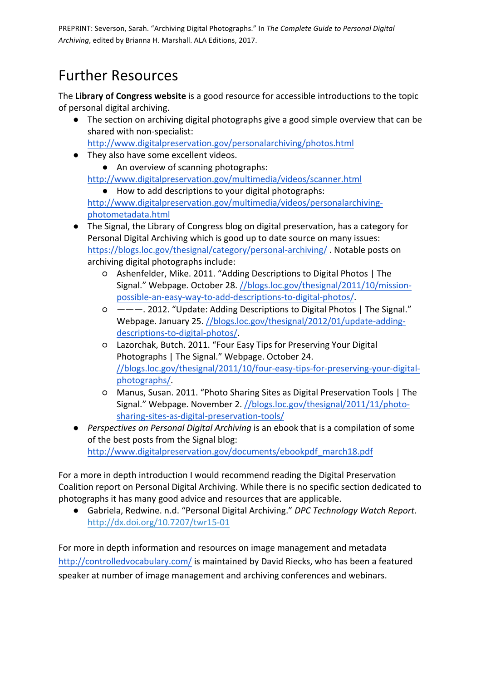# Further Resources

The Library of Congress website is a good resource for accessible introductions to the topic of personal digital archiving.

• The section on archiving digital photographs give a good simple overview that can be shared with non-specialist:

http://www.digitalpreservation.gov/personalarchiving/photos.html

• They also have some excellent videos.

• An overview of scanning photographs: http://www.digitalpreservation.gov/multimedia/videos/scanner.html

- How to add descriptions to your digital photographs: http://www.digitalpreservation.gov/multimedia/videos/personalarchivingphotometadata.html
- The Signal, the Library of Congress blog on digital preservation, has a category for Personal Digital Archiving which is good up to date source on many issues: https://blogs.loc.gov/thesignal/category/personal-archiving/. Notable posts on archiving digital photographs include:
	- Ashenfelder, Mike. 2011. "Adding Descriptions to Digital Photos | The Signal." Webpage. October 28. //blogs.loc.gov/thesignal/2011/10/missionpossible-an-easy-way-to-add-descriptions-to-digital-photos/.
	- $\circ$  ———. 2012. "Update: Adding Descriptions to Digital Photos | The Signal." Webpage. January 25. //blogs.loc.gov/thesignal/2012/01/update-addingdescriptions-to-digital-photos/.
	- $O$  Lazorchak, Butch. 2011. "Four Easy Tips for Preserving Your Digital Photographs | The Signal." Webpage. October 24. //blogs.loc.gov/thesignal/2011/10/four-easy-tips-for-preserving-your-digitalphotographs/.
	- Manus, Susan. 2011. "Photo Sharing Sites as Digital Preservation Tools | The Signal." Webpage. November 2. //blogs.loc.gov/thesignal/2011/11/photosharing-sites-as-digital-preservation-tools/
- *Perspectives on Personal Digital Archiving* is an ebook that is a compilation of some of the best posts from the Signal blog: http://www.digitalpreservation.gov/documents/ebookpdf\_march18.pdf

For a more in depth introduction I would recommend reading the Digital Preservation Coalition report on Personal Digital Archiving. While there is no specific section dedicated to photographs it has many good advice and resources that are applicable.

● Gabriela, Redwine. n.d. "Personal Digital Archiving." *DPC Technology Watch Report*. http://dx.doi.org/10.7207/twr15-01

For more in depth information and resources on image management and metadata http://controlledvocabulary.com/ is maintained by David Riecks, who has been a featured speaker at number of image management and archiving conferences and webinars.